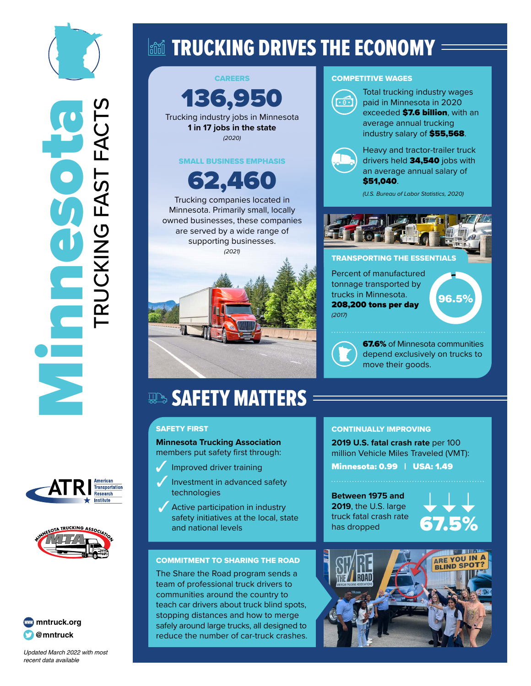







*Updated March 2022 with most*  recent data available

# land TRUCKING DRIVES THE ECONOMY =



#### COMPETITIVE WAGES



exceeded **\$7.6 billion**, with an average annual trucking industry salary of \$55,568. Heavy and tractor-trailer truck

drivers held 34,540 jobs with an average annual salary of \$51,040.

*(U.S. Bureau of Labor Statistics, 2020)*



#### **TRANSPORTING THE ESSENTIAL**

Percent of manufactured tonnage transported by trucks in Minnesota. 208,200 tons per day *(2017)*

96.5%

**67.6%** of Minnesota communities depend exclusively on trucks to move their goods.

# **SAFETY MATTERS**

### SAFETY FIRST

**Minnesota Trucking Association** members put safety first through:

- $\mathcal{J}$ Improved driver training
- Investment in advanced safety technologies
- Active participation in industry safety initiatives at the local, state and national levels

#### COMMITMENT TO SHARING THE ROAD

The Share the Road program sends a team of professional truck drivers to communities around the country to teach car drivers about truck blind spots, stopping distances and how to merge safely around large trucks, all designed to reduce the number of car-truck crashes.

### CONTINUALLY IMPROVING

**2019 U.S. fatal crash rate** per 100 million Vehicle Miles Traveled (VMT): Minnesota: 0.99 | USA: 1.49

**Between 1975 and 2019**, the U.S. large truck fatal crash rate has dropped